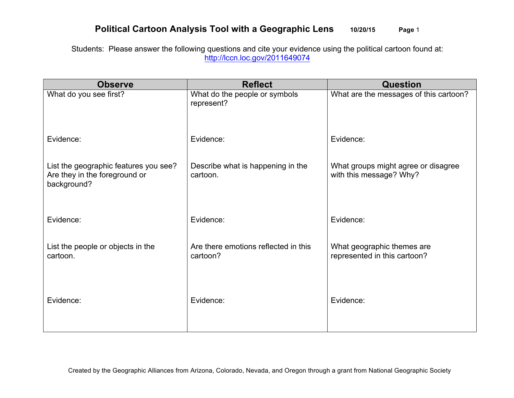## **Political Cartoon Analysis Tool with a Geographic Lens 10/20/15 Page** 1

Students: Please answer the following questions and cite your evidence using the political cartoon found at: http://lccn.loc.gov/2011649074

| <b>Observe</b>                                                                        | <b>Reflect</b>                                   | <b>Question</b>                                                |
|---------------------------------------------------------------------------------------|--------------------------------------------------|----------------------------------------------------------------|
| What do you see first?                                                                | What do the people or symbols<br>represent?      | What are the messages of this cartoon?                         |
| Evidence:                                                                             | Evidence:                                        | Evidence:                                                      |
| List the geographic features you see?<br>Are they in the foreground or<br>background? | Describe what is happening in the<br>cartoon.    | What groups might agree or disagree<br>with this message? Why? |
| Evidence:                                                                             | Evidence:                                        | Evidence:                                                      |
| List the people or objects in the<br>cartoon.                                         | Are there emotions reflected in this<br>cartoon? | What geographic themes are<br>represented in this cartoon?     |
| Evidence:                                                                             | Evidence:                                        | Evidence:                                                      |